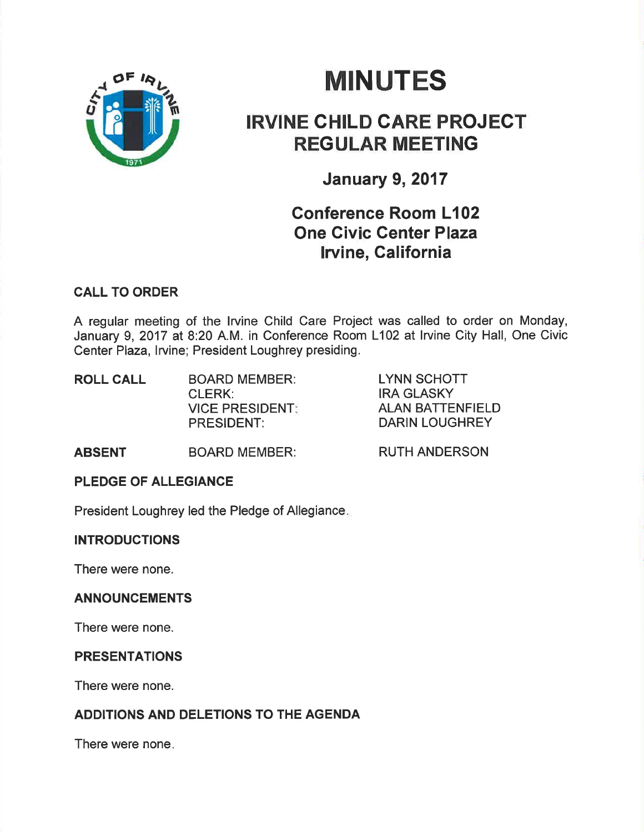

# **MINUTES**

# IRVINE CHILD CARE PROJECT REGULAR MEETING

January 9,2017

## Gonference Room L102 One Givic Genter Plaza lrvine, California

#### CALL TO ORDER

A regular meeting of the lrvine Child Care Project was called to order on Monday, January 9, 2017 at 8:20 A.M. in Conference Room L102 at lrvine City Hall, One Civic Center Plaza, lrvine; President Loughrey presiding.

| <b>ROLL CALL</b> | <b>BOARD MEMBER:</b><br>CLERK:       | LYNN SCHOTT<br>IRA GLASKY                 |
|------------------|--------------------------------------|-------------------------------------------|
|                  | <b>VICE PRESIDENT:</b><br>PRESIDENT: | <b>ALAN BATTENFIELD</b><br>DARIN LOUGHREY |

ABSENT BOARD MEMBER:

RUTH ANDERSON

### PLEDGE OF ALLEGIANCE

President Loughrey led the Pledge of Allegiance

#### **INTRODUCTIONS**

There were none.

#### ANNOUNCEMENTS

There were none.

#### PRESENTATIONS

There were none.

## ADDITIONS AND DELETIONS TO THE AGENDA

There were none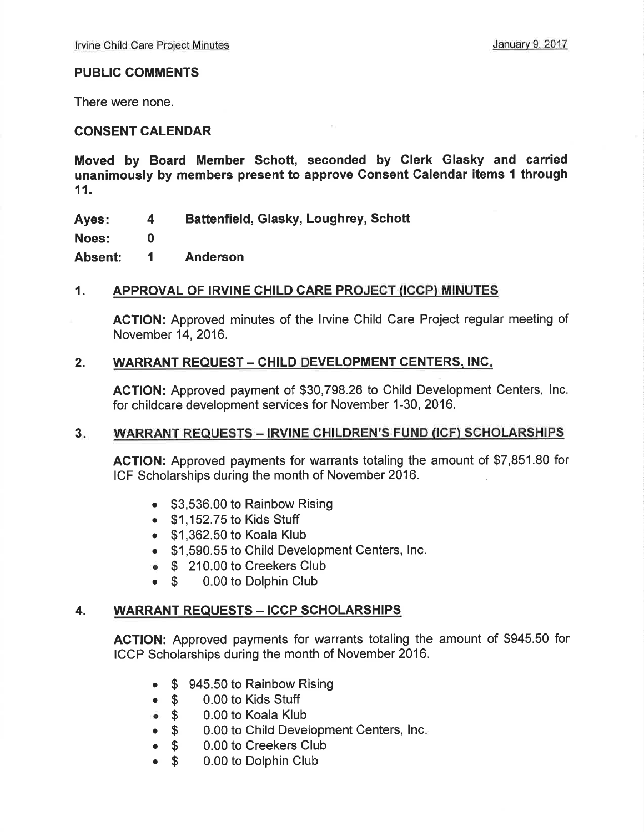#### PUBLIC COMMENTS

There were none.

#### CONSENT CALENDAR

Moved by Board Member Schott, seconded by GIerk Glasky and carried unanimously by members present to approve Gonsent Calendar items I through 11.

Ayes: Battenfield, Glasky, Loughrey, Schott 4

Noes:

Absent: Anderson 1

0

#### 1. APPROVAL OF IRVINE CHILD CARE PROJECT (ICCP) MINUTES

ACTION: Approved minutes of the lrvine Child Care Project regular meeting of November 14,2016.

#### 2. WARRANT REQUEST - CHILD DEVELOPMENT CENTERS, INC.

ACTION: Approved payment of \$30,798.26 to Child Development Centers, lnc. for childcare development services for November 1-30, 2016.

#### WARRANT REQUESTS - IRVINE CHILDREN'S FUND (ICF) SCHOLARSHIPS  $3.$

AGTION: Approved payments for warrants totaling the amount of \$7,851.80 for ICF Scholarships during the month of November 2016.

- \$3,536.00 to Rainbow Rising
- . \$1 ,152.75 to Kids Stuff
- . \$1,362.50 to Koala Klub
- . \$1,590.55 to Child Development Centers, lnc.
- **\$ \$ 210.00 to Creekers Club**<br>**\$ 0.00 to Dolphin Club**
- 0.00 to Dolphin Club

#### 4. WARRANT REQUESTS - ICCP SCHOLARSHIPS

AGTION: Approved payments for warrants totaling the amount of \$945.50 for ICCP Scholarships during the month of November 2016.

- \$ 945.50 to Rainbow Rising
- 
- o \$ 0.00 to Kids Stuff 0.00 to Koala Klub
- \$ 0.00 to Child Development Centers, Inc.<br>• \$ 0.00 to Creekers Club
- **S** 0.00 to Creekers Club<br>**S** 0.00 to Dolphin Club
- \$ 0.00 to Dolphin Club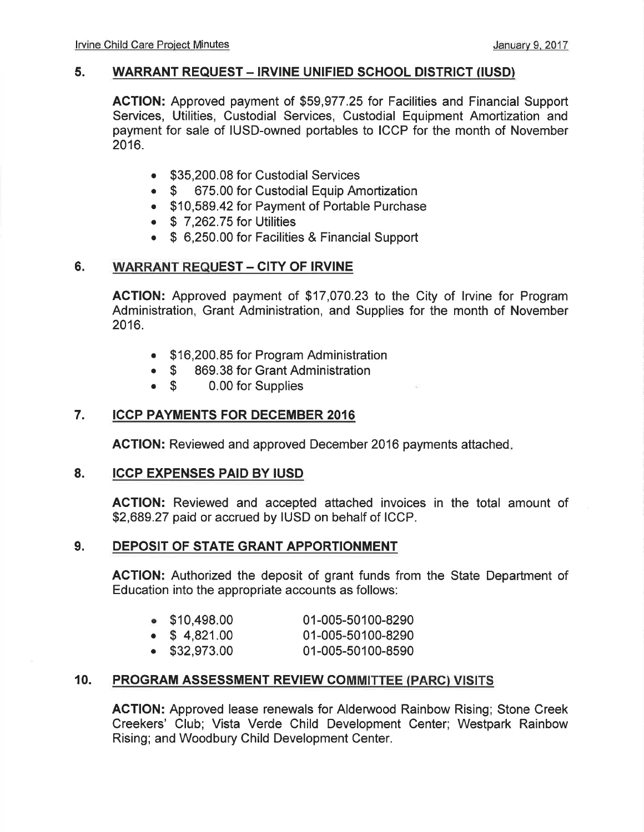#### 5. WARRANT REQUEST - IRVINE UNIFIED SCHOOL DISTRICT (IUSD)

AGTION: Approved payment of \$59,977.25 for Facilities and Financial Support Services, Utilities, Custodial Services, Custodial Equipment Amortization and payment for sale of IUSD-owned portables to ICCP for the month of November 2016.

- **\$35,200.08 for Custodial Services**<br>**675.00 for Custodial Equip Am**
- 675.00 for Custodial Equip Amortization
- . \$10,589.42 for Payment of Portable Purchase
- $\bullet$  \$ 7,262.75 for Utilities
- . \$ 6,250.00 for Facilities & Financial Support

#### 6. WARRANT REQUEST - CITY OF IRVINE

AGTION: Approved payment of \$17,070.23 to the City of lrvine for Program Administration, Grant Administration, and Supplies for the month of November 2016.

- . \$16,200.85 for Program Administration
- \$ 869.38 for Grant Administration<br>• \$ 0.00 for Supplies
- 0.00 for Supplies

#### 7. ICCP PAYMENTS FOR DECEMBER <sup>2016</sup>

ACTION: Reviewed and approved December 2016 payments attached

#### 8. ICCP EXPENSES PAID BY IUSD

AGTION: Reviewed and accepted attached invoices in the total amount of \$2,689.27 paid or accrued by IUSD on behalf of ICCP.

#### 9. DEPOSIT OF STATE GRANT APPORTIONMENT

ACTION: Authorized the deposit of grant funds from the State Department of Education into the appropriate accounts as follows:

| $\bullet$ \$10,498.00 | 01-005-50100-8290 |
|-----------------------|-------------------|
| $\bullet$ \$ 4,821.00 | 01-005-50100-8290 |
| $\bullet$ \$32,973.00 | 01-005-50100-8590 |

#### 10. PROGRAM ASSESSMENT REVIEW COMMITTEE (PARC) VISITS

ACTION: Approved lease renewals for Alderwood Rainbow Rising; Stone Creek Creekers' Club; Vista Verde Child Development Center; Westpark Rainbow Rising; and Woodbury Child Development Center.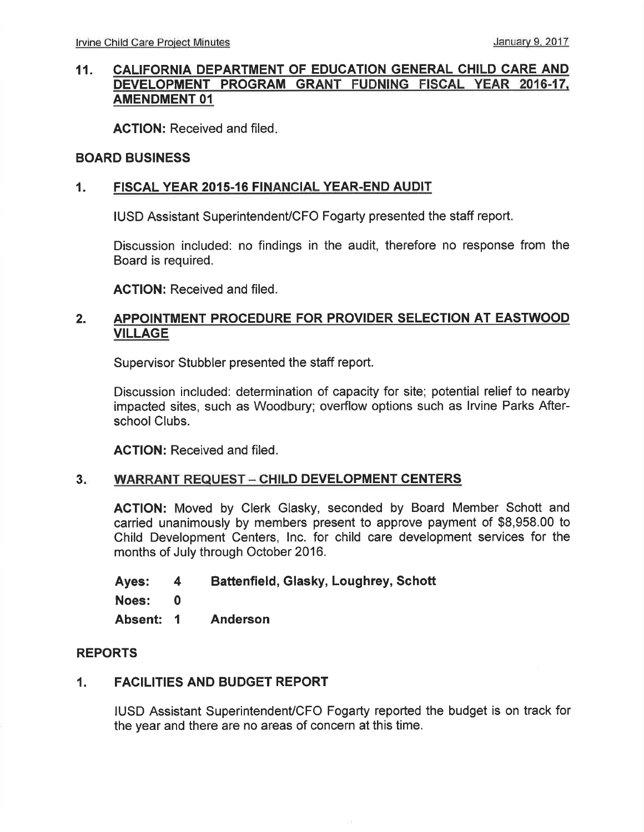#### 11. CALIFORNIA DEPARTMENT OF EDUCATION GENERAL CHILD CARE AND DEVELOPMENT PROGRAM GRANT FUDNING FISCAL YEAR 2016-17. AMENDMENT 01

ACTION: Received and filed.

#### BOARD BUSINESS

#### 1. FISCAL YEAR 2015-16 FINANCIAL YEAR-END AUDIT

IUSD Assistant Superintendent/CFO Fogarty presented the staff report.

Discussion included: no findings in the audit, therefore no response from the Board is required.

AGTION: Received and filed.

#### 2. APPOINTMENT PROCEDURE FOR PROVIDER SELECTION AT EASTWOOD VILLAGE

Supervisor Stubbler presented the staff report.

Discussion included: determination of capacity for site; potential relief to nearby impacted sites, such as Woodbury; overflow options such as lrvine Parks Afterschool Clubs.

AGTION: Received and filed.

#### WARRANT REQUEST - CHILD DEVELOPMENT CENTERS  $3.1$

ACTION: Moved by Clerk Glasky, seconded by Board Member Schott and carried unanimously by members present to approve payment of \$8,958.00 to Child Development Centers, lnc. for child care development services for the months of July through October 2016.

Ayes: <sup>4</sup> Noes: 0 Absent: <sup>1</sup> Battenfield, Glasky, Loughrey, Schott Anderson

#### REPORTS

#### 1. FACILITIES AND BUDGET REPORT

IUSD Assistant Superintendent/CFO Fogarty reported the budget is on track for the year and there are no areas of concern at this time.